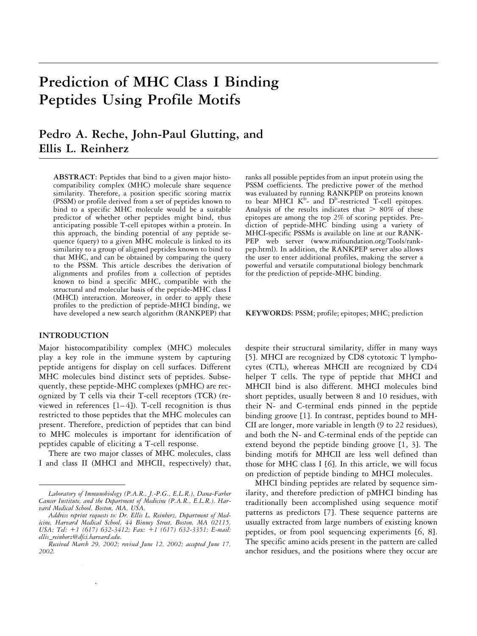# **Prediction of MHC Class I Binding Peptides Using Profile Motifs**

# **Pedro A. Reche, John-Paul Glutting, and Ellis L. Reinherz**

**ABSTRACT:** Peptides that bind to a given major histocompatibility complex (MHC) molecule share sequence similarity. Therefore, a position specific scoring matrix (PSSM) or profile derived from a set of peptides known to bind to a specific MHC molecule would be a suitable predictor of whether other peptides might bind, thus anticipating possible T-cell epitopes within a protein. In this approach, the binding potential of any peptide sequence (query) to a given MHC molecule is linked to its similarity to a group of aligned peptides known to bind to that MHC, and can be obtained by comparing the query to the PSSM. This article describes the derivation of alignments and profiles from a collection of peptides known to bind a specific MHC, compatible with the structural and molecular basis of the peptide-MHC class I (MHCI) interaction. Moreover, in order to apply these profiles to the prediction of peptide-MHCI binding, we have developed a new search algorithm (RANKPEP) that

# **INTRODUCTION**

Major histocompatibility complex (MHC) molecules play a key role in the immune system by capturing peptide antigens for display on cell surfaces. Different MHC molecules bind distinct sets of peptides. Subsequently, these peptide-MHC complexes (pMHC) are recognized by T cells via their T-cell receptors (TCR) (reviewed in references  $[1-4]$ ). T-cell recognition is thus restricted to those peptides that the MHC molecules can present. Therefore, prediction of peptides that can bind to MHC molecules is important for identification of peptides capable of eliciting a T-cell response.

There are two major classes of MHC molecules, class I and class II (MHCI and MHCII, respectively) that,

Published by Elsevier Science Inc. PII S0198-8859(02)00432-9

ranks all possible peptides from an input protein using the PSSM coefficients. The predictive power of the method was evaluated by running RANKPEP on proteins known to bear MHCI  $K^b$ - and  $D^b$ -restricted T-cell epitopes. Analysis of the results indicates that  $> 80\%$  of these epitopes are among the top 2% of scoring peptides. Prediction of peptide-MHC binding using a variety of MHCI-specific PSSMs is available on line at our RANK-PEP web server (www.mifoundation.org/Tools/rankpep.html). In addition, the RANKPEP server also allows the user to enter additional profiles, making the server a powerful and versatile computational biology benchmark for the prediction of peptide-MHC binding.

**KEYWORDS:** PSSM; profile; epitopes; MHC; prediction

*munology 63, 701–709 (2002).* © American Society for

despite their structural similarity, differ in many ways [\[5\]](#page-7-0). MHCI are recognized by CD8 cytotoxic T lymphocytes (CTL), whereas MHCII are recognized by CD4 helper T cells. The type of peptide that MHCI and MHCII bind is also different. MHCI molecules bind short peptides, usually between 8 and 10 residues, with their N- and C-terminal ends pinned in the peptide binding groove [\[1\]](#page-6-0). In contrast, peptides bound to MH-CII are longer, more variable in length (9 to 22 residues), and both the N- and C-terminal ends of the peptide can extend beyond the peptide binding groove [\[1, 3\]](#page-6-0). The binding motifs for MHCII are less well defined than those for MHC class I [\[6\]](#page-7-0). In this article, we will focus on prediction of peptide binding to MHCI molecules.

MHCI binding peptides are related by sequence similarity, and therefore prediction of pMHCI binding has traditionally been accomplished using sequence motif patterns as predictors [\[7\]](#page-7-0). These sequence patterns are usually extracted from large numbers of existing known peptides, or from pool sequencing experiments [\[6, 8\].](#page-7-0) The specific amino acids present in the pattern are called anchor residues, and the positions where they occur are

*Laboratory of Immunobiology (P.A.R., J.-P.G., E.L.R.), Dana-Farber Cancer Institute, and the Department of Medicine (P.A.R., E.L.R.), Harvard Medical School, Boston, MA, USA.*

*Address reprint requests to: Dr. Ellis L. Reinherz, Department of Medicine, Harvard Medical School, 44 Binney Street, Boston, MA 02115, USA; Tel:* -*1 (617) 632-3412; Fax:* -*1 (617) 632-3351; E-mail: ellis\_reinherz@dfci.harvard.edu.*

*Received March 29, 2002; revised June 12, 2002; accepted June 17, 2002.*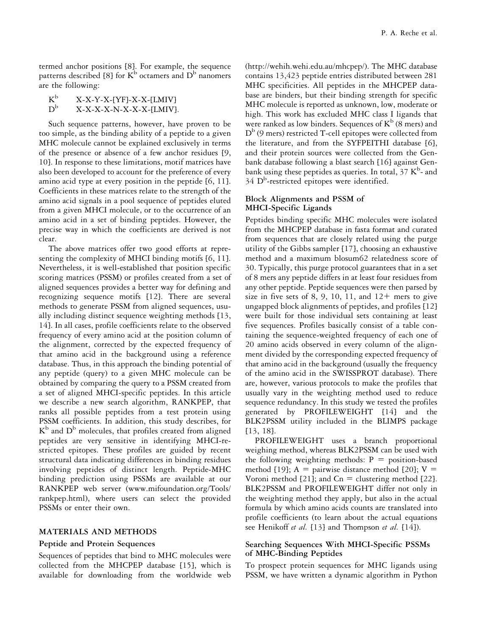termed anchor positions [\[8\].](#page-7-0) For example, the sequence patterns described [\[8\]](#page-7-0) for  $\tilde{K}^b$  octamers and  $D^b$  nanomers are the following:

 $K^b$  X-X-Y-X-[YF]-X-X-[LMIV]<br>D<sup>b</sup> X-X-X-X-N-X-X-X-HLMIV] X-X-X-X-N-X-X-X-[LMIV].

Such sequence patterns, however, have proven to be too simple, as the binding ability of a peptide to a given MHC molecule cannot be explained exclusively in terms of the presence or absence of a few anchor residues [\[9,](#page-7-0) [10\]](#page-7-0). In response to these limitations, motif matrices have also been developed to account for the preference of every amino acid type at every position in the peptide [\[6, 11\].](#page-7-0) Coefficients in these matrices relate to the strength of the amino acid signals in a pool sequence of peptides eluted from a given MHCI molecule, or to the occurrence of an amino acid in a set of binding peptides. However, the precise way in which the coefficients are derived is not clear.

The above matrices offer two good efforts at representing the complexity of MHCI binding motifs [\[6, 11\].](#page-7-0) Nevertheless, it is well-established that position specific scoring matrices (PSSM) or profiles created from a set of aligned sequences provides a better way for defining and recognizing sequence motifs [\[12\].](#page-7-0) There are several methods to generate PSSM from aligned sequences, usually including distinct sequence weighting methods [\[13,](#page-7-0) [14\]](#page-7-0). In all cases, profile coefficients relate to the observed frequency of every amino acid at the position column of the alignment, corrected by the expected frequency of that amino acid in the background using a reference database. Thus, in this approach the binding potential of any peptide (query) to a given MHC molecule can be obtained by comparing the query to a PSSM created from a set of aligned MHCI-specific peptides. In this article we describe a new search algorithm, RANKPEP, that ranks all possible peptides from a test protein using PSSM coefficients. In addition, this study describes, for  $K<sup>b</sup>$  and  $D<sup>b</sup>$  molecules, that profiles created from aligned peptides are very sensitive in identifying MHCI-restricted epitopes. These profiles are guided by recent structural data indicating differences in binding residues involving peptides of distinct length. Peptide-MHC binding prediction using PSSMs are available at our RANKPEP web server (www.mifoundation.org/Tools/ rankpep.html), where users can select the provided PSSMs or enter their own.

#### **MATERIALS AND METHODS**

#### **Peptide and Protein Sequences**

Sequences of peptides that bind to MHC molecules were collected from the MHCPEP database [\[15\],](#page-7-0) which is available for downloading from the worldwide web (http://wehih.wehi.edu.au/mhcpep/). The MHC database contains 13,423 peptide entries distributed between 281 MHC specificities. All peptides in the MHCPEP database are binders, but their binding strength for specific MHC molecule is reported as unknown, low, moderate or high. This work has excluded MHC class I ligands that were ranked as low binders. Sequences of  $K^b$  (8 mers) and  $D<sup>b</sup>$  (9 mers) restricted T-cell epitopes were collected from the literature, and from the SYFPEITHI database [\[6\],](#page-7-0) and their protein sources were collected from the Genbank database following a blast search [\[16\]](#page-7-0) against Genbank using these peptides as queries. In total, 37  $\text{K}^{\text{b}}$ - and 34 D<sup>b</sup>-restricted epitopes were identified.

# **Block Alignments and PSSM of MHCI-Specific Ligands**

Peptides binding specific MHC molecules were isolated from the MHCPEP database in fasta format and curated from sequences that are closely related using the purge utility of the Gibbs sampler [\[17\]](#page-7-0), choosing an exhaustive method and a maximum blosum62 relatedness score of 30. Typically, this purge protocol guarantees that in a set of 8 mers any peptide differs in at least four residues from any other peptide. Peptide sequences were then parsed by size in five sets of  $8, 9, 10, 11,$  and  $12+$  mers to give ungapped block alignments of peptides, and profiles [\[12\]](#page-7-0) were built for those individual sets containing at least five sequences. Profiles basically consist of a table containing the sequence-weighted frequency of each one of 20 amino acids observed in every column of the alignment divided by the corresponding expected frequency of that amino acid in the background (usually the frequency of the amino acid in the SWISSPROT database). There are, however, various protocols to make the profiles that usually vary in the weighting method used to reduce sequence redundancy. In this study we tested the profiles generated by PROFILEWEIGHT [\[14\]](#page-7-0) and the BLK2PSSM utility included in the BLIMPS package [\[13, 18\]](#page-7-0).

PROFILEWEIGHT uses a branch proportional weighing method, whereas BLK2PSSM can be used with the following weighting methods:  $P =$  position-based method [\[19\];](#page-7-0)  $A =$  pairwise distance method [\[20\];](#page-7-0)  $V =$ Voroni method  $[21]$ ; and  $Cn =$  clustering method  $[22]$ . BLK2PSSM and PROFILEWEIGHT differ not only in the weighting method they apply, but also in the actual formula by which amino acids counts are translated into profile coefficients (to learn about the actual equations see Henikoff *et al.* [\[13\]](#page-7-0) and Thompson *et al.* [\[14\]](#page-7-0)).

# **Searching Sequences With MHCI-Specific PSSMs of MHC-Binding Peptides**

To prospect protein sequences for MHC ligands using PSSM, we have written a dynamic algorithm in Python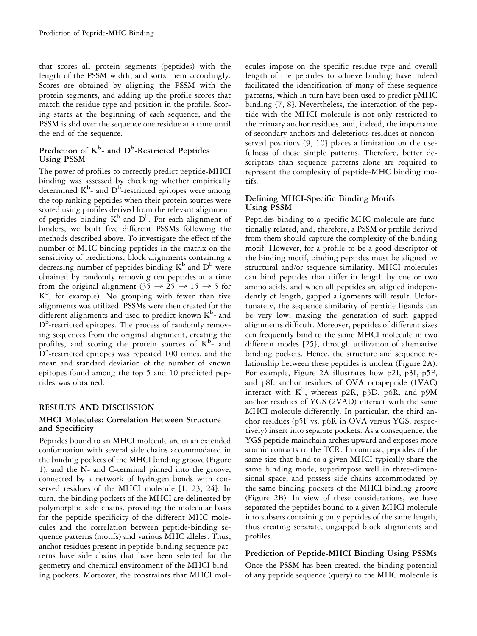that scores all protein segments (peptides) with the length of the PSSM width, and sorts them accordingly. Scores are obtained by aligning the PSSM with the protein segments, and adding up the profile scores that match the residue type and position in the profile. Scoring starts at the beginning of each sequence, and the PSSM is slid over the sequence one residue at a time until the end of the sequence.

# Prediction of K<sup>b</sup>- and D<sup>b</sup>-Restricted Peptides **Using PSSM**

The power of profiles to correctly predict peptide-MHCI binding was assessed by checking whether empirically determined  $K^b$ - and  $D^b$ -restricted epitopes were among the top ranking peptides when their protein sources were scored using profiles derived from the relevant alignment of peptides binding  $K^b$  and  $D^b$ . For each alignment of binders, we built five different PSSMs following the methods described above. To investigate the effect of the number of MHC binding peptides in the matrix on the sensitivity of predictions, block alignments containing a decreasing number of peptides binding  $K^b$  and  $D^b$  were obtained by randomly removing ten peptides at a time from the original alignment (35  $\rightarrow$  25  $\rightarrow$  15  $\rightarrow$  5 for  $K^b$ , for example). No grouping with fewer than five alignments was utilized. PSSMs were then created for the different alignments and used to predict known  $K^b$ - and D<sup>b</sup>-restricted epitopes. The process of randomly removing sequences from the original alignment, creating the profiles, and scoring the protein sources of  $K^b$ - and  $\overrightarrow{D}^{\text{b}}$ -restricted epitopes was repeated 100 times, and the mean and standard deviation of the number of known epitopes found among the top 5 and 10 predicted peptides was obtained.

# **RESULTS AND DISCUSSION**

# **MHCI Molecules: Correlation Between Structure and Specificity**

Peptides bound to an MHCI molecule are in an extended conformation with several side chains accommodated in the binding pockets of the MHCI binding groove [\(Figure](#page-3-0) [1](#page-3-0)), and the N- and C-terminal pinned into the groove, connected by a network of hydrogen bonds with conserved residues of the MHCI molecule [\[1, 23, 24\]](#page-6-0). In turn, the binding pockets of the MHCI are delineated by polymorphic side chains, providing the molecular basis for the peptide specificity of the different MHC molecules and the correlation between peptide-binding sequence patterns (motifs) and various MHC alleles. Thus, anchor residues present in peptide-binding sequence patterns have side chains that have been selected for the geometry and chemical environment of the MHCI binding pockets. Moreover, the constraints that MHCI molecules impose on the specific residue type and overall length of the peptides to achieve binding have indeed facilitated the identification of many of these sequence patterns, which in turn have been used to predict pMHC binding [\[7, 8\].](#page-7-0) Nevertheless, the interaction of the peptide with the MHCI molecule is not only restricted to the primary anchor residues, and, indeed, the importance of secondary anchors and deleterious residues at nonconserved positions [\[9, 10\]](#page-7-0) places a limitation on the usefulness of these simple patterns. Therefore, better descriptors than sequence patterns alone are required to represent the complexity of peptide-MHC binding motifs.

# **Defining MHCI-Specific Binding Motifs Using PSSM**

Peptides binding to a specific MHC molecule are functionally related, and, therefore, a PSSM or profile derived from them should capture the complexity of the binding motif. However, for a profile to be a good descriptor of the binding motif, binding peptides must be aligned by structural and/or sequence similarity. MHCI molecules can bind peptides that differ in length by one or two amino acids, and when all peptides are aligned independently of length, gapped alignments will result. Unfortunately, the sequence similarity of peptide ligands can be very low, making the generation of such gapped alignments difficult. Moreover, peptides of different sizes can frequently bind to the same MHCI molecule in two different modes [\[25\]](#page-7-0), through utilization of alternative binding pockets. Hence, the structure and sequence relationship between these peptides is unclear ([Figure 2A\)](#page-3-0). For example, [Figure 2A](#page-3-0) illustrates how p2I, p3I, p5F, and p8L anchor residues of OVA octapeptide (1VAC) interact with  $K^b$ , whereas p2R, p3D, p6R, and p9M anchor residues of YGS (2VAD) interact with the same MHCI molecule differently. In particular, the third anchor residues (p5F vs. p6R in OVA versus YGS, respectively) insert into separate pockets. As a consequence, the YGS peptide mainchain arches upward and exposes more atomic contacts to the TCR. In contrast, peptides of the same size that bind to a given MHCI typically share the same binding mode, superimpose well in three-dimensional space, and possess side chains accommodated by the same binding pockets of the MHCI binding groove ([Figure 2B](#page-3-0)). In view of these considerations, we have separated the peptides bound to a given MHCI molecule into subsets containing only peptides of the same length, thus creating separate, ungapped block alignments and profiles.

# **Prediction of Peptide-MHCI Binding Using PSSMs**

Once the PSSM has been created, the binding potential of any peptide sequence (query) to the MHC molecule is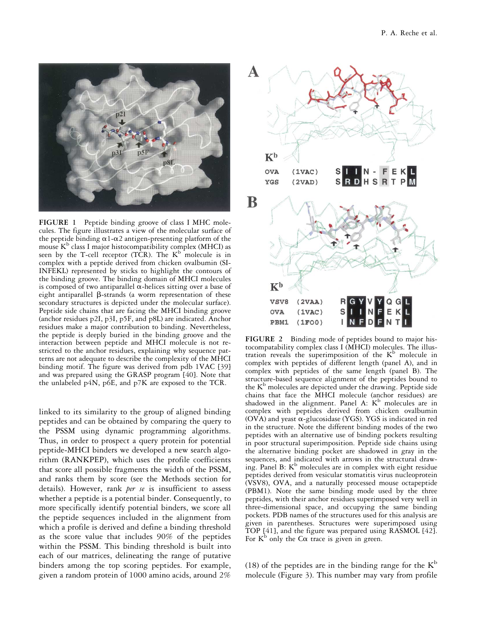<span id="page-3-0"></span>

**FIGURE 1** Peptide binding groove of class I MHC molecules. The figure illustrates a view of the molecular surface of the peptide binding  $\alpha$ 1- $\alpha$ 2 antigen-presenting platform of the mouse  $K<sup>b</sup>$  class I major histocompatibility complex (MHCI) as seen by the T-cell receptor (TCR). The  $K^b$  molecule is in complex with a peptide derived from chicken ovalbumin (SI-INFEKL) represented by sticks to highlight the contours of the binding groove. The binding domain of MHCI molecules is composed of two antiparallel  $\alpha$ -helices sitting over a base of eight antiparallel  $\beta$ -strands (a worm representation of these secondary structures is depicted under the molecular surface). Peptide side chains that are facing the MHCI binding groove (anchor residues p2I, p3I, p5F, and p8L) are indicated. Anchor residues make a major contribution to binding. Nevertheless, the peptide is deeply buried in the binding groove and the interaction between peptide and MHCI molecule is not restricted to the anchor residues, explaining why sequence patterns are not adequate to describe the complexity of the MHCI binding motif. The figure was derived from pdb 1VAC [\[39\]](#page-8-0) and was prepared using the GRASP program [\[40\].](#page-8-0) Note that the unlabeled p4N, p6E, and p7K are exposed to the TCR.

linked to its similarity to the group of aligned binding peptides and can be obtained by comparing the query to the PSSM using dynamic programming algorithms. Thus, in order to prospect a query protein for potential peptide-MHCI binders we developed a new search algorithm (RANKPEP), which uses the profile coefficients that score all possible fragments the width of the PSSM, and ranks them by score (see the Methods section for details). However, rank *per se* is insufficient to assess whether a peptide is a potential binder. Consequently, to more specifically identify potential binders, we score all the peptide sequences included in the alignment from which a profile is derived and define a binding threshold as the score value that includes 90% of the peptides within the PSSM. This binding threshold is built into each of our matrices, delineating the range of putative binders among the top scoring peptides. For example, given a random protein of 1000 amino acids, around 2%



**FIGURE 2** Binding mode of peptides bound to major histocompatability complex class I (MHCI) molecules. The illustration reveals the superimposition of the  $K^b$  molecule in complex with peptides of different length (panel A), and in complex with peptides of the same length (panel B). The structure-based sequence alignment of the peptides bound to the  $K<sup>b</sup>$  molecules are depicted under the drawing. Peptide side chains that face the MHCI molecule (anchor residues) are shadowed in the alignment. Panel A:  $K^b$  molecules are in complex with peptides derived from chicken ovalbumin (OVA) and yeast  $\alpha$ -glucosidase (YGS). YGS is indicated in red in the structure. Note the different binding modes of the two peptides with an alternative use of binding pockets resulting in poor structural superimposition. Peptide side chains using the alternative binding pocket are shadowed in gray in the sequences, and indicated with arrows in the structural drawing. Panel B:  $K<sup>b</sup>$  molecules are in complex with eight residue peptides derived from vesicular stomatitis virus nucleoprotein (VSV8), OVA, and a naturally processed mouse octapeptide (PBM1). Note the same binding mode used by the three peptides, with their anchor residues superimposed very well in three-dimensional space, and occupying the same binding pockets. PDB names of the structures used for this analysis are given in parentheses. Structures were superimposed using TOP [\[41\]](#page-8-0), and the figure was prepared using RASMOL [\[42\]](#page-8-0). For  $K^b$  only the C $\alpha$  trace is given in green.

(18) of the peptides are in the binding range for the  $K^b$ molecule ([Figure 3\)](#page-4-0). This number may vary from profile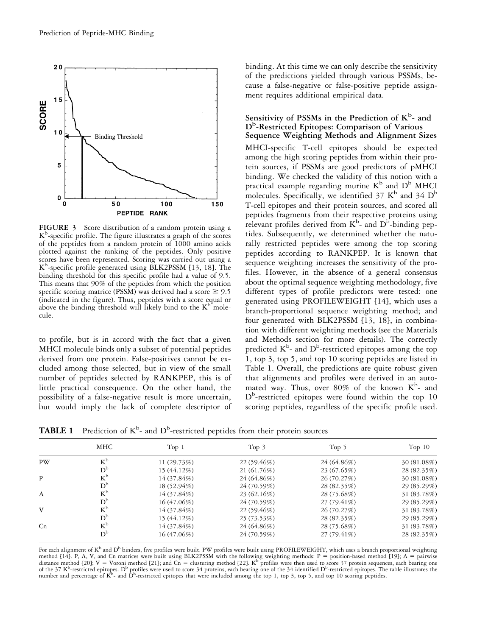<span id="page-4-0"></span>

**FIGURE 3** Score distribution of a random protein using a K<sup>b</sup>-specific profile. The figure illustrates a graph of the scores of the peptides from a random protein of 1000 amino acids plotted against the ranking of the peptides. Only positive scores have been represented. Scoring was carried out using a K<sup>b</sup>-specific profile generated using BLK2PSSM [\[13, 18\]](#page-7-0). The binding threshold for this specific profile had a value of 9.5. This means that 90% of the peptides from which the position specific scoring matrice (PSSM) was derived had a score  $\geq$  9.5 (indicated in the figure). Thus, peptides with a score equal or above the binding threshold will likely bind to the  $K<sup>b</sup>$  molecule.

to profile, but is in accord with the fact that a given MHCI molecule binds only a subset of potential peptides derived from one protein. False-positives cannot be excluded among those selected, but in view of the small number of peptides selected by RANKPEP, this is of little practical consequence. On the other hand, the possibility of a false-negative result is more uncertain, but would imply the lack of complete descriptor of binding. At this time we can only describe the sensitivity of the predictions yielded through various PSSMs, because a false-negative or false-positive peptide assignment requires additional empirical data.

Sensitivity of PSSMs in the Prediction of K<sup>b</sup>- and **Db -Restricted Epitopes: Comparison of Various Sequence Weighting Methods and Alignment Sizes** MHCI-specific T-cell epitopes should be expected among the high scoring peptides from within their protein sources, if PSSMs are good predictors of pMHCI binding. We checked the validity of this notion with a practical example regarding murine  $K^b$  and  $D^b$  MHCI molecules. Specifically, we identified 37  $K^b$  and 34  $D^b$ T-cell epitopes and their protein sources, and scored all peptides fragments from their respective proteins using relevant profiles derived from  $K^b$ - and  $D^b$ -binding peptides. Subsequently, we determined whether the naturally restricted peptides were among the top scoring peptides according to RANKPEP. It is known that sequence weighting increases the sensitivity of the profiles. However, in the absence of a general consensus about the optimal sequence weighting methodology, five different types of profile predictors were tested: one generated using PROFILEWEIGHT [\[14\]](#page-7-0), which uses a branch-proportional sequence weighting method; and four generated with BLK2PSSM [\[13, 18\]](#page-7-0), in combination with different weighting methods (see the Materials and Methods section for more details). The correctly predicted  $K^b$ - and  $D^b$ -restricted epitopes among the top 1, top 3, top 5, and top 10 scoring peptides are listed in Table 1. Overall, the predictions are quite robust given that alignments and profiles were derived in an automated way. Thus, over  $80\%$  of the known  $K^b$ - and  $D^b$ -restricted epitopes were found within the top 10 scoring peptides, regardless of the specific profile used.

**TABLE 1** Prediction of  $K^b$ - and  $D^b$ -restricted peptides from their protein sources

|                | MHC            | Top <sub>1</sub> | Top $3$     | Top 5         | Top 10      |
|----------------|----------------|------------------|-------------|---------------|-------------|
| <b>PW</b>      | $K^{\rm b}$    | 11(29.73%)       | 22 (59.46%) | 24 (64.86%)   | 30 (81.08%) |
|                | $D^{\rm b}$    | 15 (44.12%)      | 21 (61.76%) | 23 (67.65%)   | 28 (82.35%) |
| P              | $K^{\rm b}$    | 14 (37.84%)      | 24 (64.86%) | 26 (70.27%)   | 30 (81.08%) |
|                | $D^{\rm b}$    | 18 (52.94%)      | 24 (70.59%) | 28 (82.35%)   | 29 (85.29%) |
| A              | $K^{\rm b}$    | 14 (37.84%)      | 23 (62.16%) | 28 (75.68%)   | 31 (83.78%) |
|                | $D^{\rm b}$    | 16 (47.06%)      | 24 (70.59%) | 27 (79.41\%)  | 29 (85.29%) |
| V              | $K^{\rm b}$    | 14 (37.84%)      | 22 (59.46%) | 26 (70.27%)   | 31 (83.78%) |
|                | $D^{\rm b}$    | 15 (44.12%)      | 25(73.53%)  | 28 (82.35%)   | 29 (85.29%) |
| C <sub>n</sub> | $K^{\rm b}$    | 14 (37.84%)      | 24 (64.86%) | 28 (75.68%)   | 31 (83.78%) |
|                | D <sup>b</sup> | 16 (47.06%)      | 24 (70.59%) | $27(79.41\%)$ | 28 (82.35%) |

For each alignment of  $K^b$  and  $D^b$  binders, five profiles were built. PW profiles were built using PROFILEWEIGHT, which uses a branch proportional weighting method [[14\]](#page-7-0). P, A, V, and Cn matrices were built using BLK2PSSM with the following weighting methods: P = position-based method [[19\]](#page-7-0); A = pairwise<br>distance method [[20\]](#page-7-0); V = Voroni method [[21\]](#page-7-0); and Cn = clustering method [ of the 37 K<sup>b</sup>-restricted epitopes. D<sup>b</sup> profiles were used to score 34 proteins, each bearing one of the 34 identified D<sup>b</sup>-restricted epitopes. The table illustrates the number and percentage of K<sup>b</sup>- and D<sup>b</sup>-restricted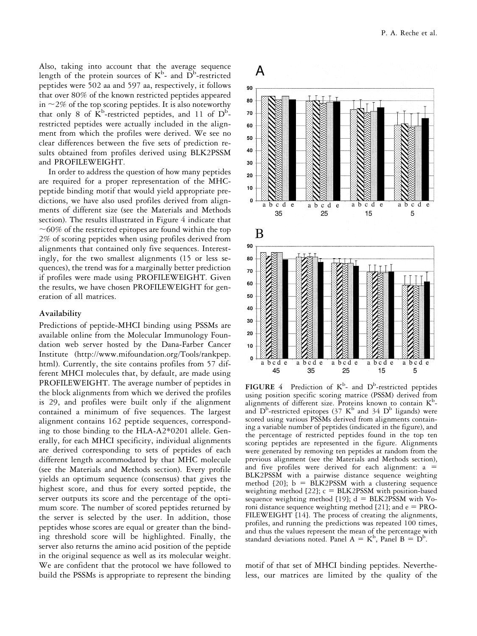Also, taking into account that the average sequence length of the protein sources of  $K^b$ - and  $\overline{D}^b$ -restricted peptides were 502 aa and 597 aa, respectively, it follows that over 80% of the known restricted peptides appeared in  $\sim$  2% of the top scoring peptides. It is also noteworthy that only 8 of  $\overrightarrow{K}^b$ -restricted peptides, and 11 of  $D^b$ restricted peptides were actually included in the alignment from which the profiles were derived. We see no clear differences between the five sets of prediction results obtained from profiles derived using BLK2PSSM and PROFILEWEIGHT.

In order to address the question of how many peptides are required for a proper representation of the MHCpeptide binding motif that would yield appropriate predictions, we have also used profiles derived from alignments of different size (see the Materials and Methods section). The results illustrated in Figure 4 indicate that  $\sim$  60% of the restricted epitopes are found within the top 2% of scoring peptides when using profiles derived from alignments that contained only five sequences. Interestingly, for the two smallest alignments (15 or less sequences), the trend was for a marginally better prediction if profiles were made using PROFILEWEIGHT. Given the results, we have chosen PROFILEWEIGHT for generation of all matrices.

#### **Availability**

Predictions of peptide-MHCI binding using PSSMs are available online from the Molecular Immunology Foundation web server hosted by the Dana-Farber Cancer Institute (http://www.mifoundation.org/Tools/rankpep. html). Currently, the site contains profiles from 57 different MHCI molecules that, by default, are made using PROFILEWEIGHT. The average number of peptides in the block alignments from which we derived the profiles is 29, and profiles were built only if the alignment contained a minimum of five sequences. The largest alignment contains 162 peptide sequences, corresponding to those binding to the HLA-A2\*0201 allele. Generally, for each MHCI specificity, individual alignments are derived corresponding to sets of peptides of each different length accommodated by that MHC molecule (see the Materials and Methods section). Every profile yields an optimum sequence (consensus) that gives the highest score, and thus for every sorted peptide, the server outputs its score and the percentage of the optimum score. The number of scored peptides returned by the server is selected by the user. In addition, those peptides whose scores are equal or greater than the binding threshold score will be highlighted. Finally, the server also returns the amino acid position of the peptide in the original sequence as well as its molecular weight. We are confident that the protocol we have followed to build the PSSMs is appropriate to represent the binding



FIGURE 4 Prediction of  $K^b$ - and  $D^b$ -restricted peptides using position specific scoring matrice (PSSM) derived from alignments of different size. Proteins known to contain  $K^b$ -<br>and  $D^b$ -restricted epitopes (37  $K^b$  and 34  $D^b$  ligands) were scored using various PSSMs derived from alignments containing a variable number of peptides (indicated in the figure), and the percentage of restricted peptides found in the top ten scoring peptides are represented in the figure. Alignments were generated by removing ten peptides at random from the previous alignment (see the Materials and Methods section), and five profiles were derived for each alignment:  $a = BLK2PSSM$  with a pairwise distance sequence weighting method  $[20]$ ; b = BLK2PSSM with a clustering sequence weighting method  $[22]$ ;  $c = BLK2PSSM$  with position-based sequence weighting method [\[19\]](#page-7-0);  $d = BLK2PSSM$  with Voroni distance sequence weighting method  $[21]$ ; and  $e = PRO-$ FILEWEIGHT [\[14\].](#page-7-0) The process of creating the alignments, profiles, and running the predictions was repeated 100 times, and thus the values represent the mean of the percentage with standard deviations noted. Panel  $A = K^b$ , Panel  $B = D^b$ .

motif of that set of MHCI binding peptides. Nevertheless, our matrices are limited by the quality of the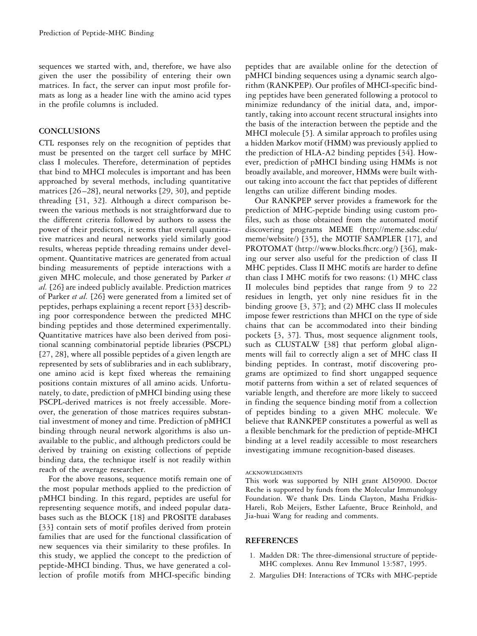<span id="page-6-0"></span>sequences we started with, and, therefore, we have also given the user the possibility of entering their own matrices. In fact, the server can input most profile formats as long as a header line with the amino acid types in the profile columns is included.

## **CONCLUSIONS**

CTL responses rely on the recognition of peptides that must be presented on the target cell surface by MHC class I molecules. Therefore, determination of peptides that bind to MHCI molecules is important and has been approached by several methods, including quantitative matrices [\[26–28\],](#page-7-0) neural networks [\[29, 30\]](#page-7-0), and peptide threading [\[31, 32\]](#page-7-0). Although a direct comparison between the various methods is not straightforward due to the different criteria followed by authors to assess the power of their predictors, it seems that overall quantitative matrices and neural networks yield similarly good results, whereas peptide threading remains under development. Quantitative matrices are generated from actual binding measurements of peptide interactions with a given MHC molecule, and those generated by Parker *et al.* [\[26\]](#page-7-0) are indeed publicly available. Prediction matrices of Parker *et al.* [\[26\]](#page-7-0) were generated from a limited set of peptides, perhaps explaining a recent report [\[33\]](#page-7-0) describing poor correspondence between the predicted MHC binding peptides and those determined experimentally. Quantitative matrices have also been derived from positional scanning combinatorial peptide libraries (PSCPL) [\[27, 28\]](#page-7-0), where all possible peptides of a given length are represented by sets of sublibraries and in each sublibrary, one amino acid is kept fixed whereas the remaining positions contain mixtures of all amino acids. Unfortunately, to date, prediction of pMHCI binding using these PSCPL-derived matrices is not freely accessible. Moreover, the generation of those matrices requires substantial investment of money and time. Prediction of pMHCI binding through neural network algorithms is also unavailable to the public, and although predictors could be derived by training on existing collections of peptide binding data, the technique itself is not readily within reach of the average researcher.

For the above reasons, sequence motifs remain one of the most popular methods applied to the prediction of pMHCI binding. In this regard, peptides are useful for representing sequence motifs, and indeed popular databases such as the BLOCK [\[18\]](#page-7-0) and PROSITE databases [\[33\]](#page-7-0) contain sets of motif profiles derived from protein families that are used for the functional classification of new sequences via their similarity to these profiles. In this study, we applied the concept to the prediction of peptide-MHCI binding. Thus, we have generated a collection of profile motifs from MHCI-specific binding

peptides that are available online for the detection of pMHCI binding sequences using a dynamic search algorithm (RANKPEP). Our profiles of MHCI-specific binding peptides have been generated following a protocol to minimize redundancy of the initial data, and, importantly, taking into account recent structural insights into the basis of the interaction between the peptide and the MHCI molecule [\[5\].](#page-7-0) A similar approach to profiles using a hidden Markov motif (HMM) was previously applied to the prediction of HLA-A2 binding peptides [\[34\]](#page-8-0). However, prediction of pMHCI binding using HMMs is not broadly available, and moreover, HMMs were built without taking into account the fact that peptides of different lengths can utilize different binding modes.

Our RANKPEP server provides a framework for the prediction of MHC-peptide binding using custom profiles, such as those obtained from the automated motif discovering programs MEME (http://meme.sdsc.edu/ meme/website/) [\[35\]](#page-8-0), the MOTIF SAMPLER [\[17\],](#page-7-0) and PROTOMAT (http://www.blocks.fhcrc.org/) [\[36\],](#page-8-0) making our server also useful for the prediction of class II MHC peptides. Class II MHC motifs are harder to define than class I MHC motifs for two reasons: (1) MHC class II molecules bind peptides that range from 9 to 22 residues in length, yet only nine residues fit in the binding groove [\[3, 37\];](#page-7-0) and (2) MHC class II molecules impose fewer restrictions than MHCI on the type of side chains that can be accommodated into their binding pockets [\[3, 37\].](#page-7-0) Thus, most sequence alignment tools, such as CLUSTALW [\[38\]](#page-8-0) that perform global alignments will fail to correctly align a set of MHC class II binding peptides. In contrast, motif discovering programs are optimized to find short ungapped sequence motif patterns from within a set of related sequences of variable length, and therefore are more likely to succeed in finding the sequence binding motif from a collection of peptides binding to a given MHC molecule. We believe that RANKPEP constitutes a powerful as well as a flexible benchmark for the prediction of peptide-MHCI binding at a level readily accessible to most researchers investigating immune recognition-based diseases.

#### ACKNOWLEDGMENTS

This work was supported by NIH grant AI50900. Doctor Reche is supported by funds from the Molecular Immunology Foundation. We thank Drs. Linda Clayton, Masha Fridkis-Hareli, Rob Meijers, Esther Lafuente, Bruce Reinhold, and Jia-huai Wang for reading and comments.

## **REFERENCES**

- 1. Madden DR: The three-dimensional structure of peptide-MHC complexes. Annu Rev Immunol 13:587, 1995.
- 2. Margulies DH: Interactions of TCRs with MHC-peptide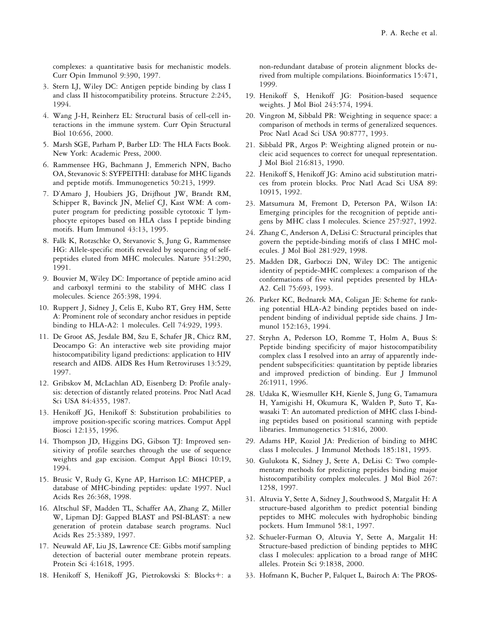<span id="page-7-0"></span>complexes: a quantitative basis for mechanistic models. Curr Opin Immunol 9:390, 1997.

- 3. Stern LJ, Wiley DC: Antigen peptide binding by class I and class II histocompatibility proteins. Structure 2:245, 1994.
- 4. Wang J-H, Reinherz EL: Structural basis of cell-cell interactions in the immune system. Curr Opin Structural Biol 10:656, 2000.
- 5. Marsh SGE, Parham P, Barber LD: The HLA Facts Book. New York: Academic Press, 2000.
- 6. Rammensee HG, Bachmann J, Emmerich NPN, Bacho OA, Stevanovic S: SYFPEITHI: database for MHC ligands and peptide motifs. Immunogenetics 50:213, 1999.
- 7. D'Amaro J, Houbiers JG, Drijfhout JW, Brandt RM, Schipper R, Bavinck JN, Melief CJ, Kast WM: A computer program for predicting possible cytotoxic T lymphocyte epitopes based on HLA class I peptide binding motifs. Hum Immunol 43:13, 1995.
- 8. Falk K, Rotzschke O, Stevanovic S, Jung G, Rammensee HG: Allele-specific motifs revealed by sequencing of selfpeptides eluted from MHC molecules. Nature 351:290, 1991.
- 9. Bouvier M, Wiley DC: Importance of peptide amino acid and carboxyl termini to the stability of MHC class I molecules. Science 265:398, 1994.
- 10. Ruppert J, Sidney J, Celis E, Kubo RT, Grey HM, Sette A: Prominent role of secondary anchor residues in peptide binding to HLA-A2: 1 molecules. Cell 74:929, 1993.
- 11. De Groot AS, Jesdale BM, Szu E, Schafer JR, Chicz RM, Deocampo G: An interactive web site providing major histocompatibility ligand predictions: application to HIV research and AIDS. AIDS Res Hum Retroviruses 13:529, 1997.
- 12. Gribskov M, McLachlan AD, Eisenberg D: Profile analysis: detection of distantly related proteins. Proc Natl Acad Sci USA 84:4355, 1987.
- 13. Henikoff JG, Henikoff S: Substitution probabilities to improve position-specific scoring matrices. Comput Appl Biosci 12:135, 1996.
- 14. Thompson JD, Higgins DG, Gibson TJ: Improved sensitivity of profile searches through the use of sequence weights and gap excision. Comput Appl Biosci 10:19, 1994.
- 15. Brusic V, Rudy G, Kyne AP, Harrison LC: MHCPEP, a database of MHC-binding peptides: update 1997. Nucl Acids Res 26:368, 1998.
- 16. Altschul SF, Madden TL, Schaffer AA, Zhang Z, Miller W, Lipman DJ: Gapped BLAST and PSI-BLAST: a new generation of protein database search programs. Nucl Acids Res 25:3389, 1997.
- 17. Neuwald AF, Liu JS, Lawrence CE: Gibbs motif sampling detection of bacterial outer membrane protein repeats. Protein Sci 4:1618, 1995.
- 18. Henikoff S, Henikoff JG, Pietrokovski S: Blocks+: a

non-redundant database of protein alignment blocks derived from multiple compilations. Bioinformatics 15:471, 1999.

- 19. Henikoff S, Henikoff JG: Position-based sequence weights. J Mol Biol 243:574, 1994.
- 20. Vingron M, Sibbald PR: Weighting in sequence space: a comparison of methods in terms of generalized sequences. Proc Natl Acad Sci USA 90:8777, 1993.
- 21. Sibbald PR, Argos P: Weighting aligned protein or nucleic acid sequences to correct for unequal representation. J Mol Biol 216:813, 1990.
- 22. Henikoff S, Henikoff JG: Amino acid substitution matrices from protein blocks. Proc Natl Acad Sci USA 89: 10915, 1992.
- 23. Matsumura M, Fremont D, Peterson PA, Wilson IA: Emerging principles for the recognition of peptide antigens by MHC class I molecules. Science 257:927, 1992.
- 24. Zhang C, Anderson A, DeLisi C: Structural principles that govern the peptide-binding motifs of class I MHC molecules. J Mol Biol 281:929, 1998.
- 25. Madden DR, Garboczi DN, Wiley DC: The antigenic identity of peptide-MHC complexes: a comparison of the conformations of five viral peptides presented by HLA-A2. Cell 75:693, 1993.
- 26. Parker KC, Bednarek MA, Coligan JE: Scheme for ranking potential HLA-A2 binding peptides based on independent binding of individual peptide side chains. J Immunol 152:163, 1994.
- 27. Stryhn A, Pederson LO, Romme T, Holm A, Buus S: Peptide binding specificity of major histocompatibility complex class I resolved into an array of apparently independent subspecificities: quantitation by peptide libraries and improved prediction of binding. Eur J Immunol 26:1911, 1996.
- 28. Udaka K, Wiesmuller KH, Kienle S, Jung G, Tamamura H, Yamigishi H, Okumura K, Walden P, Suto T, Kawasaki T: An automated prediction of MHC class I-binding peptides based on positional scanning with peptide libraries. Immunogenetics 51:816, 2000.
- 29. Adams HP, Koziol JA: Prediction of binding to MHC class I molecules. J Immunol Methods 185:181, 1995.
- 30. Gulukota K, Sidney J, Sette A, DeLisi C: Two complementary methods for predicting peptides binding major histocompatibility complex molecules. J Mol Biol 267: 1258, 1997.
- 31. Altuvia Y, Sette A, Sidney J, Southwood S, Margalit H: A structure-based algorithm to predict potential binding peptides to MHC molecules with hydrophobic binding pockets. Hum Immunol 58:1, 1997.
- 32. Schueler-Furman O, Altuvia Y, Sette A, Margalit H: Structure-based prediction of binding peptides to MHC class I molecules: application to a broad range of MHC alleles. Protein Sci 9:1838, 2000.
- 33. Hofmann K, Bucher P, Falquet L, Bairoch A: The PROS-